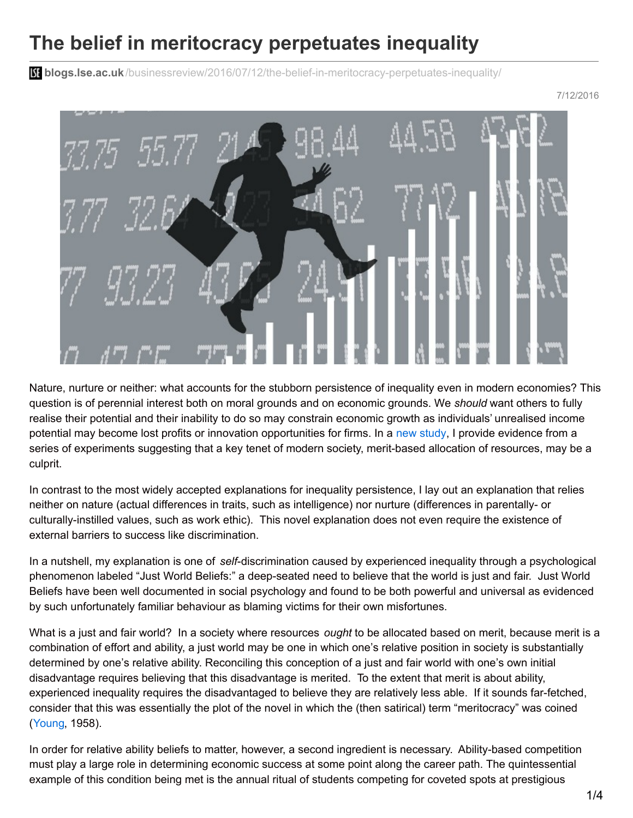## **The belief in meritocracy perpetuates inequality**

**bliogs.lse.ac.uk**[/businessreview/2016/07/12/the-belief-in-meritocracy-perpetuates-inequality/](http://blogs.lse.ac.uk/businessreview/2016/07/12/the-belief-in-meritocracy-perpetuates-inequality/)

## 7/12/2016



Nature, nurture or neither: what accounts for the stubborn persistence of inequality even in modern economies? This question is of perennial interest both on moral grounds and on economic grounds. We *should* want others to fully realise their potential and their inability to do so may constrain economic growth as individuals' unrealised income potential may become lost profits or innovation opportunities for firms. In a new [study](http://onlinelibrary.wiley.com/doi/10.1111/ecoj.12175/abstract), I provide evidence from a series of experiments suggesting that a key tenet of modern society, merit-based allocation of resources, may be a culprit.

In contrast to the most widely accepted explanations for inequality persistence, I lay out an explanation that relies neither on nature (actual differences in traits, such as intelligence) nor nurture (differences in parentally- or culturally-instilled values, such as work ethic). This novel explanation does not even require the existence of external barriers to success like discrimination.

In a nutshell, my explanation is one of *self*-discrimination caused by experienced inequality through a psychological phenomenon labeled "Just World Beliefs:" a deep-seated need to believe that the world is just and fair. Just World Beliefs have been well documented in social psychology and found to be both powerful and universal as evidenced by such unfortunately familiar behaviour as blaming victims for their own misfortunes.

What is a just and fair world? In a society where resources *ought* to be allocated based on merit, because merit is a combination of effort and ability, a just world may be one in which one's relative position in society is substantially determined by one's relative ability. Reconciling this conception of a just and fair world with one's own initial disadvantage requires believing that this disadvantage is merited. To the extent that merit is about ability, experienced inequality requires the disadvantaged to believe they are relatively less able. If it sounds far-fetched, consider that this was essentially the plot of the novel in which the (then satirical) term "meritocracy" was coined ([Young](https://books.google.co.uk/books/about/The_Rise_of_the_Meritocracy.html?id=e_rTyIMJR9kC), 1958).

In order for relative ability beliefs to matter, however, a second ingredient is necessary. Ability-based competition must play a large role in determining economic success at some point along the career path. The quintessential example of this condition being met is the annual ritual of students competing for coveted spots at prestigious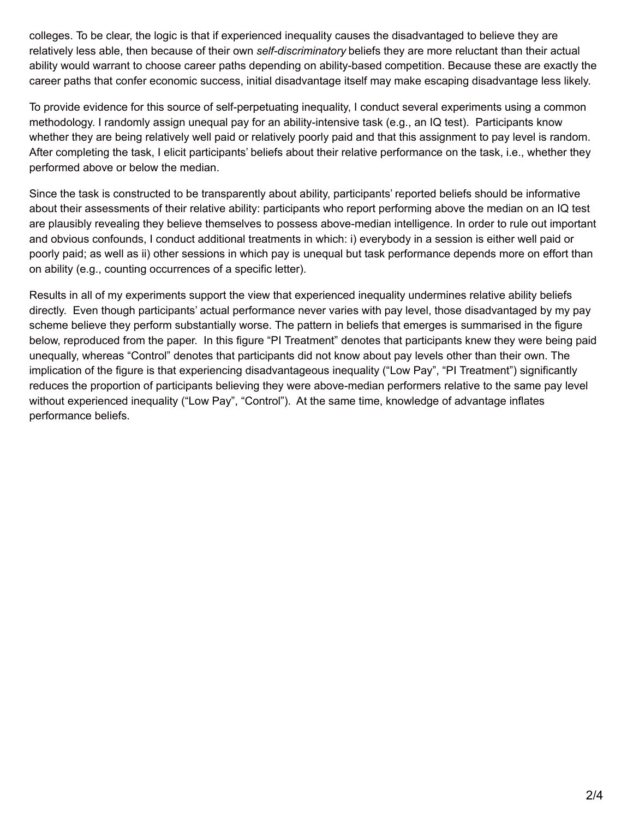colleges. To be clear, the logic is that if experienced inequality causes the disadvantaged to believe they are relatively less able, then because of their own *self-discriminatory* beliefs they are more reluctant than their actual ability would warrant to choose career paths depending on ability-based competition. Because these are exactly the career paths that confer economic success, initial disadvantage itself may make escaping disadvantage less likely.

To provide evidence for this source of self-perpetuating inequality, I conduct several experiments using a common methodology. I randomly assign unequal pay for an ability-intensive task (e.g., an IQ test). Participants know whether they are being relatively well paid or relatively poorly paid and that this assignment to pay level is random. After completing the task, I elicit participants' beliefs about their relative performance on the task, i.e., whether they performed above or below the median.

Since the task is constructed to be transparently about ability, participants' reported beliefs should be informative about their assessments of their relative ability: participants who report performing above the median on an IQ test are plausibly revealing they believe themselves to possess above-median intelligence. In order to rule out important and obvious confounds, I conduct additional treatments in which: i) everybody in a session is either well paid or poorly paid; as well as ii) other sessions in which pay is unequal but task performance depends more on effort than on ability (e.g., counting occurrences of a specific letter).

Results in all of my experiments support the view that experienced inequality undermines relative ability beliefs directly. Even though participants' actual performance never varies with pay level, those disadvantaged by my pay scheme believe they perform substantially worse. The pattern in beliefs that emerges is summarised in the figure below, reproduced from the paper. In this figure "PI Treatment" denotes that participants knew they were being paid unequally, whereas "Control" denotes that participants did not know about pay levels other than their own. The implication of the figure is that experiencing disadvantageous inequality ("Low Pay", "PI Treatment") significantly reduces the proportion of participants believing they were above-median performers relative to the same pay level without experienced inequality ("Low Pay", "Control"). At the same time, knowledge of advantage inflates performance beliefs.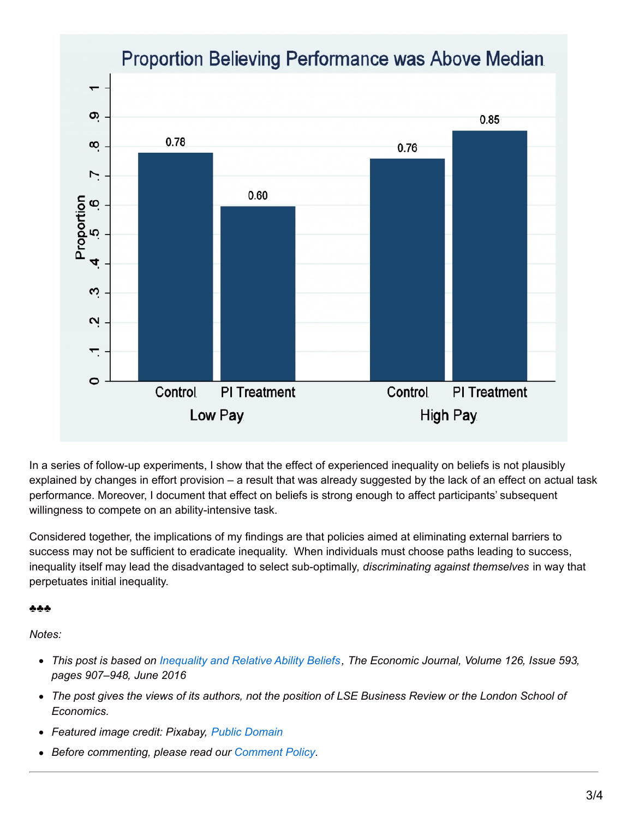

In a series of follow-up experiments, I show that the effect of experienced inequality on beliefs is not plausibly explained by changes in effort provision – a result that was already suggested by the lack of an effect on actual task performance. Moreover, I document that effect on beliefs is strong enough to affect participants' subsequent willingness to compete on an ability-intensive task.

Considered together, the implications of my findings are that policies aimed at eliminating external barriers to success may not be sufficient to eradicate inequality. When individuals must choose paths leading to success, inequality itself may lead the disadvantaged to select sub-optimally, *discriminating against themselves* in way that perpetuates initial inequality.

## ♣♣♣

*Notes:*

- This post is based on [Inequality](http://onlinelibrary.wiley.com/doi/10.1111/ecoj.12175/abstract) and Relative Ability Beliefs, The Economic Journal, Volume 126, Issue 593, *pages 907–948, June 2016*
- The post gives the views of its authors, not the position of LSE Business Review or the London School of *Economics.*
- *Featured image credit: Pixabay, Public [Domain](https://pixabay.com/en/entrepreneur-stock-exchange-pay-1428452/)*
- *Before commenting, please read our [Comment](http://blogs.lse.ac.uk/businessreview/comment-policy/) Policy.*